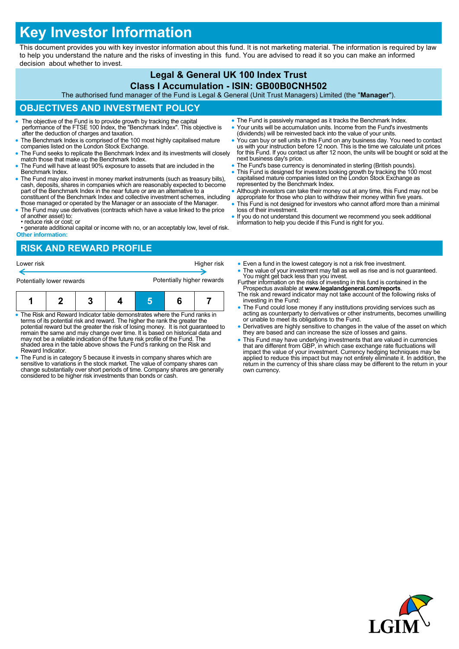# **Key Investor Information**

This document provides you with key investor information about this fund. It is not marketing material. The information is required by law to help you understand the nature and the risks of investing in this fund. You are advised to read it so you can make an informed decision about whether to invest.

#### **Legal & General UK 100 Index Trust Class I Accumulation - ISIN: GB00B0CNH502**

The authorised fund manager of the Fund is Legal & General (Unit Trust Managers) Limited (the "**Manager**").

## **OBJECTIVES AND INVESTMENT POLICY**

- The objective of the Fund is to provide growth by tracking the capital performance of the FTSE 100 Index, the "Benchmark Index". This objective is after the deduction of charges and taxation.
- The Benchmark Index is comprised of the 100 most highly capitalised mature companies listed on the London Stock Exchange.
- The Fund seeks to replicate the Benchmark Index and its investments will closely match those that make up the Benchmark Index.
- The Fund will have at least 90% exposure to assets that are included in the Benchmark Index.
- The Fund may also invest in money market instruments (such as treasury bills), cash, deposits, shares in companies which are reasonably expected to become part of the Benchmark Index in the near future or are an alternative to a constituent of the Benchmark Index and collective investment schemes, including
- those managed or operated by the Manager or an associate of the Manager. The Fund may use derivatives (contracts which have a value linked to the price
- of another asset) to: • reduce risk or cost; or
- generate additional capital or income with no, or an acceptably low, level of risk. **Other information:**

# **RISK AND REWARD PROFILE**

Lower risk **Higher risk** Higher risk **Higher risk** Potentially lower rewards **Potentially higher rewards** 

- The Risk and Reward Indicator table demonstrates where the Fund ranks in terms of its potential risk and reward. The higher the rank the greater the potential reward but the greater the risk of losing money. It is not guaranteed to remain the same and may change over time. It is based on historical data and may not be a reliable indication of the future risk profile of the Fund. The shaded area in the table above shows the Fund's ranking on the Risk and Reward Indicator.
- The Fund is in category 5 because it invests in company shares which are sensitive to variations in the stock market. The value of company shares can change substantially over short periods of time. Company shares are generally considered to be higher risk investments than bonds or cash.
- The Fund is passively managed as it tracks the Benchmark Index. Your units will be accumulation units. Income from the Fund's investments
- (dividends) will be reinvested back into the value of your units. You can buy or sell units in this Fund on any business day. You need to contact us with your instruction before 12 noon. This is the time we calculate unit prices for this Fund. If you contact us after 12 noon, the units will be bought or sold at the next business day's price.
- The Fund's base currency is denominated in sterling (British pounds).
- This Fund is designed for investors looking growth by tracking the 100 most capitalised mature companies listed on the London Stock Exchange as represented by the Benchmark Index.
- Although investors can take their money out at any time, this Fund may not be
- appropriate for those who plan to withdraw their money within five years. This Fund is not designed for investors who cannot afford more than a minimal loss of their investment.
- If you do not understand this document we recommend you seek additional information to help you decide if this Fund is right for you.
	- Even a fund in the lowest category is not a risk free investment.
	- The value of your investment may fall as well as rise and is not guaranteed. You might get back less than you invest.
	- Further information on the risks of investing in this fund is contained in the Prospectus available at **www.legalandgeneral.com/reports**. The risk and reward indicator may not take account of the following risks of
	- investing in the Fund: The Fund could lose money if any institutions providing services such as acting as counterparty to derivatives or other instruments, becomes unwilling or unable to meet its obligations to the Fund.
	- Derivatives are highly sensitive to changes in the value of the asset on which they are based and can increase the size of losses and gains.
	- This Fund may have underlying investments that are valued in currencies that are different from GBP, in which case exchange rate fluctuations will impact the value of your investment. Currency hedging techniques may be applied to reduce this impact but may not entirely eliminate it. In addition, the return in the currency of this share class may be different to the return in your own currency.